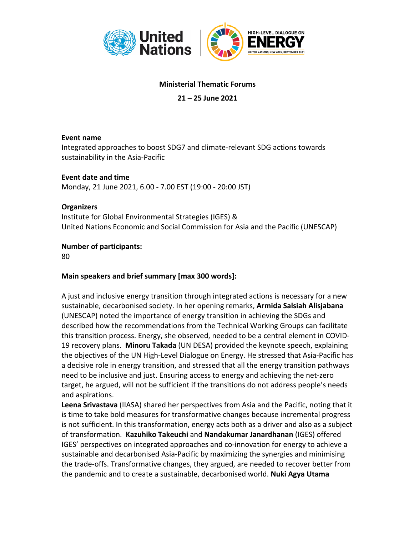

# **Ministerial Thematic Forums**

# **21 – 25 June 2021**

#### **Event name**

Integrated approaches to boost SDG7 and climate-relevant SDG actions towards sustainability in the Asia-Pacific

**Event date and time** Monday, 21 June 2021, 6.00 - 7.00 EST (19:00 - 20:00 JST)

#### **Organizers**

Institute for Global Environmental Strategies (IGES) & United Nations Economic and Social Commission for Asia and the Pacific (UNESCAP)

### **Number of participants:**

80

### **Main speakers and brief summary [max 300 words]:**

A just and inclusive energy transition through integrated actions is necessary for a new sustainable, decarbonised society. In her opening remarks, **Armida Salsiah Alisjabana** (UNESCAP) noted the importance of energy transition in achieving the SDGs and described how the recommendations from the Technical Working Groups can facilitate this transition process. Energy, she observed, needed to be a central element in COVID-19 recovery plans. **Minoru Takada** (UN DESA) provided the keynote speech, explaining the objectives of the UN High-Level Dialogue on Energy. He stressed that Asia-Pacific has a decisive role in energy transition, and stressed that all the energy transition pathways need to be inclusive and just. Ensuring access to energy and achieving the net-zero target, he argued, will not be sufficient if the transitions do not address people's needs and aspirations.

**Leena Srivastava** (IIASA) shared her perspectives from Asia and the Pacific, noting that it is time to take bold measures for transformative changes because incremental progress is not sufficient. In this transformation, energy acts both as a driver and also as a subject of transformation. **Kazuhiko Takeuchi** and **Nandakumar Janardhanan** (IGES) offered IGES' perspectives on integrated approaches and co-innovation for energy to achieve a sustainable and decarbonised Asia-Pacific by maximizing the synergies and minimising the trade-offs. Transformative changes, they argued, are needed to recover better from the pandemic and to create a sustainable, decarbonised world. **Nuki Agya Utama**